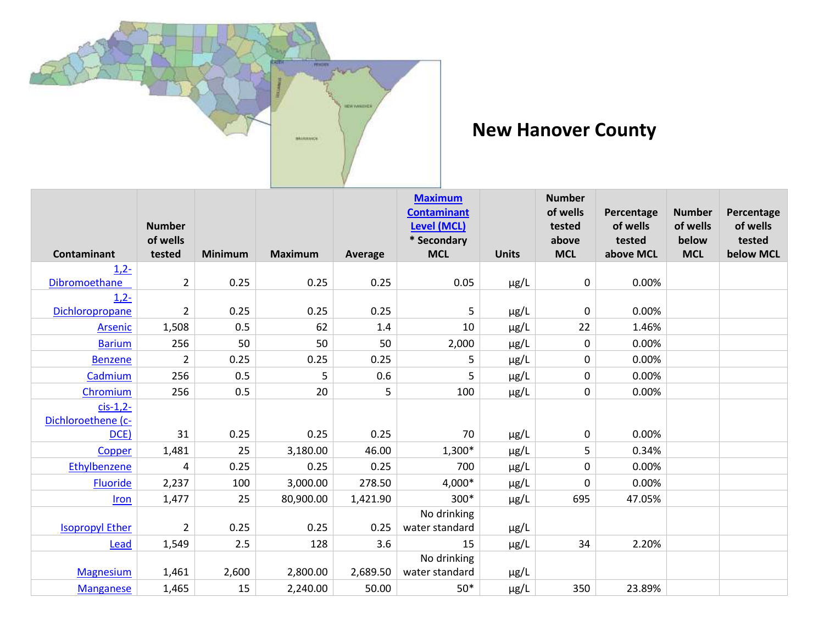

## **New Hanover County**

|                        |                    |                |                |          | <b>Maximum</b><br><b>Contaminant</b> |              | <b>Number</b><br>of wells | Percentage          | <b>Number</b>       | Percentage          |
|------------------------|--------------------|----------------|----------------|----------|--------------------------------------|--------------|---------------------------|---------------------|---------------------|---------------------|
|                        | <b>Number</b>      |                |                |          | Level (MCL)                          |              | tested                    | of wells            | of wells            | of wells            |
| Contaminant            | of wells<br>tested | <b>Minimum</b> | <b>Maximum</b> | Average  | * Secondary<br><b>MCL</b>            | <b>Units</b> | above<br><b>MCL</b>       | tested<br>above MCL | below<br><b>MCL</b> | tested<br>below MCL |
| $1,2-$                 |                    |                |                |          |                                      |              |                           |                     |                     |                     |
| Dibromoethane          | $\overline{2}$     | 0.25           | 0.25           | 0.25     | 0.05                                 | µg/L         | 0                         | 0.00%               |                     |                     |
| $1,2-$                 |                    |                |                |          |                                      |              |                           |                     |                     |                     |
| Dichloropropane        | $\overline{2}$     | 0.25           | 0.25           | 0.25     | 5                                    | $\mu$ g/L    | 0                         | 0.00%               |                     |                     |
| <b>Arsenic</b>         | 1,508              | 0.5            | 62             | 1.4      | 10                                   | $\mu$ g/L    | 22                        | 1.46%               |                     |                     |
| <b>Barium</b>          | 256                | 50             | 50             | 50       | 2,000                                | $\mu$ g/L    | 0                         | 0.00%               |                     |                     |
| <b>Benzene</b>         | $\overline{2}$     | 0.25           | 0.25           | 0.25     | 5                                    | $\mu$ g/L    | 0                         | 0.00%               |                     |                     |
| Cadmium                | 256                | 0.5            | 5              | 0.6      | 5                                    | µg/L         | 0                         | 0.00%               |                     |                     |
| Chromium               | 256                | 0.5            | 20             | 5        | 100                                  | $\mu$ g/L    | 0                         | 0.00%               |                     |                     |
| $cis-1,2-$             |                    |                |                |          |                                      |              |                           |                     |                     |                     |
| Dichloroethene (c-     |                    |                |                |          |                                      |              |                           |                     |                     |                     |
| DCE)                   | 31                 | 0.25           | 0.25           | 0.25     | 70                                   | µg/L         | 0                         | 0.00%               |                     |                     |
| Copper                 | 1,481              | 25             | 3,180.00       | 46.00    | 1,300*                               | $\mu$ g/L    | 5                         | 0.34%               |                     |                     |
| Ethylbenzene           | 4                  | 0.25           | 0.25           | 0.25     | 700                                  | $\mu$ g/L    | 0                         | 0.00%               |                     |                     |
| <b>Fluoride</b>        | 2,237              | 100            | 3,000.00       | 278.50   | 4,000*                               | $\mu$ g/L    | 0                         | 0.00%               |                     |                     |
| Iron                   | 1,477              | 25             | 80,900.00      | 1,421.90 | $300*$                               | $\mu$ g/L    | 695                       | 47.05%              |                     |                     |
|                        |                    |                |                |          | No drinking                          |              |                           |                     |                     |                     |
| <b>Isopropyl Ether</b> | $\overline{2}$     | 0.25           | 0.25           | 0.25     | water standard                       | µg/L         |                           |                     |                     |                     |
| Lead                   | 1,549              | 2.5            | 128            | 3.6      | 15                                   | $\mu$ g/L    | 34                        | 2.20%               |                     |                     |
|                        |                    |                |                |          | No drinking                          |              |                           |                     |                     |                     |
| <b>Magnesium</b>       | 1,461              | 2,600          | 2,800.00       | 2,689.50 | water standard                       | µg/L         |                           |                     |                     |                     |
| <b>Manganese</b>       | 1,465              | 15             | 2,240.00       | 50.00    | $50*$                                | $\mu$ g/L    | 350                       | 23.89%              |                     |                     |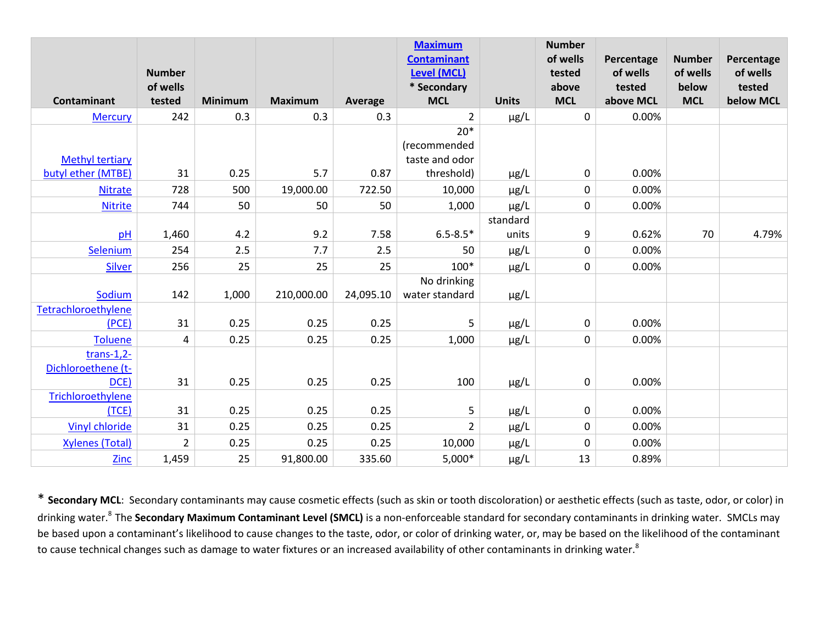|                        |                           |                |                |           | <b>Maximum</b><br><b>Contaminant</b> |              | <b>Number</b><br>of wells | Percentage         | <b>Number</b>     | Percentage         |
|------------------------|---------------------------|----------------|----------------|-----------|--------------------------------------|--------------|---------------------------|--------------------|-------------------|--------------------|
|                        | <b>Number</b><br>of wells |                |                |           | <b>Level (MCL)</b><br>* Secondary    |              | tested<br>above           | of wells<br>tested | of wells<br>below | of wells<br>tested |
| Contaminant            | tested                    | <b>Minimum</b> | <b>Maximum</b> | Average   | <b>MCL</b>                           | <b>Units</b> | <b>MCL</b>                | above MCL          | <b>MCL</b>        | below MCL          |
| <b>Mercury</b>         | 242                       | 0.3            | 0.3            | 0.3       | $\overline{2}$                       | µg/L         | 0                         | 0.00%              |                   |                    |
|                        |                           |                |                |           | $20*$                                |              |                           |                    |                   |                    |
|                        |                           |                |                |           | (recommended                         |              |                           |                    |                   |                    |
| <b>Methyl tertiary</b> |                           |                |                |           | taste and odor                       |              |                           |                    |                   |                    |
| butyl ether (MTBE)     | 31                        | 0.25           | 5.7            | 0.87      | threshold)                           | $\mu$ g/L    | 0                         | 0.00%              |                   |                    |
| <b>Nitrate</b>         | 728                       | 500            | 19,000.00      | 722.50    | 10,000                               | $\mu$ g/L    | 0                         | 0.00%              |                   |                    |
| <b>Nitrite</b>         | 744                       | 50             | 50             | 50        | 1,000                                | $\mu$ g/L    | 0                         | 0.00%              |                   |                    |
|                        |                           |                |                |           |                                      | standard     |                           |                    |                   |                    |
| pH                     | 1,460                     | 4.2            | 9.2            | 7.58      | $6.5 - 8.5*$                         | units        | 9                         | 0.62%              | 70                | 4.79%              |
| Selenium               | 254                       | 2.5            | 7.7            | 2.5       | 50                                   | $\mu$ g/L    | 0                         | 0.00%              |                   |                    |
| <b>Silver</b>          | 256                       | 25             | 25             | 25        | $100*$                               | $\mu$ g/L    | 0                         | 0.00%              |                   |                    |
|                        |                           |                |                |           | No drinking                          |              |                           |                    |                   |                    |
| Sodium                 | 142                       | 1,000          | 210,000.00     | 24,095.10 | water standard                       | $\mu$ g/L    |                           |                    |                   |                    |
| Tetrachloroethylene    |                           |                |                |           |                                      |              |                           |                    |                   |                    |
| (PCE)                  | 31                        | 0.25           | 0.25           | 0.25      | 5                                    | µg/L         | 0                         | 0.00%              |                   |                    |
| Toluene                | 4                         | 0.25           | 0.25           | 0.25      | 1,000                                | $\mu$ g/L    | 0                         | 0.00%              |                   |                    |
| $trans-1,2-$           |                           |                |                |           |                                      |              |                           |                    |                   |                    |
| Dichloroethene (t-     |                           |                |                |           |                                      |              |                           |                    |                   |                    |
| DCE)                   | 31                        | 0.25           | 0.25           | 0.25      | 100                                  | $\mu$ g/L    | 0                         | 0.00%              |                   |                    |
| Trichloroethylene      |                           |                |                |           |                                      |              |                           |                    |                   |                    |
| (TCE)                  | 31                        | 0.25           | 0.25           | 0.25      | 5                                    | µg/L         | 0                         | 0.00%              |                   |                    |
| Vinyl chloride         | 31                        | 0.25           | 0.25           | 0.25      | $\overline{2}$                       | $\mu$ g/L    | 0                         | 0.00%              |                   |                    |
| <b>Xylenes (Total)</b> | $\overline{2}$            | 0.25           | 0.25           | 0.25      | 10,000                               | $\mu$ g/L    | 0                         | 0.00%              |                   |                    |
| <b>Zinc</b>            | 1,459                     | 25             | 91,800.00      | 335.60    | $5,000*$                             | $\mu$ g/L    | 13                        | 0.89%              |                   |                    |

\* **Secondary MCL**: Secondary contaminants may cause cosmetic effects (such as skin or tooth discoloration) or aesthetic effects (such as taste, odor, or color) in drinking water.<sup>8</sup>The **Secondary Maximum Contaminant Level (SMCL)** is a non-enforceable standard for secondary contaminants in drinking water. SMCLs may be based upon a contaminant's likelihood to cause changes to the taste, odor, or color of drinking water, or, may be based on the likelihood of the contaminant to cause technical changes such as damage to water fixtures or an increased availability of other contaminants in drinking water.<sup>8</sup>